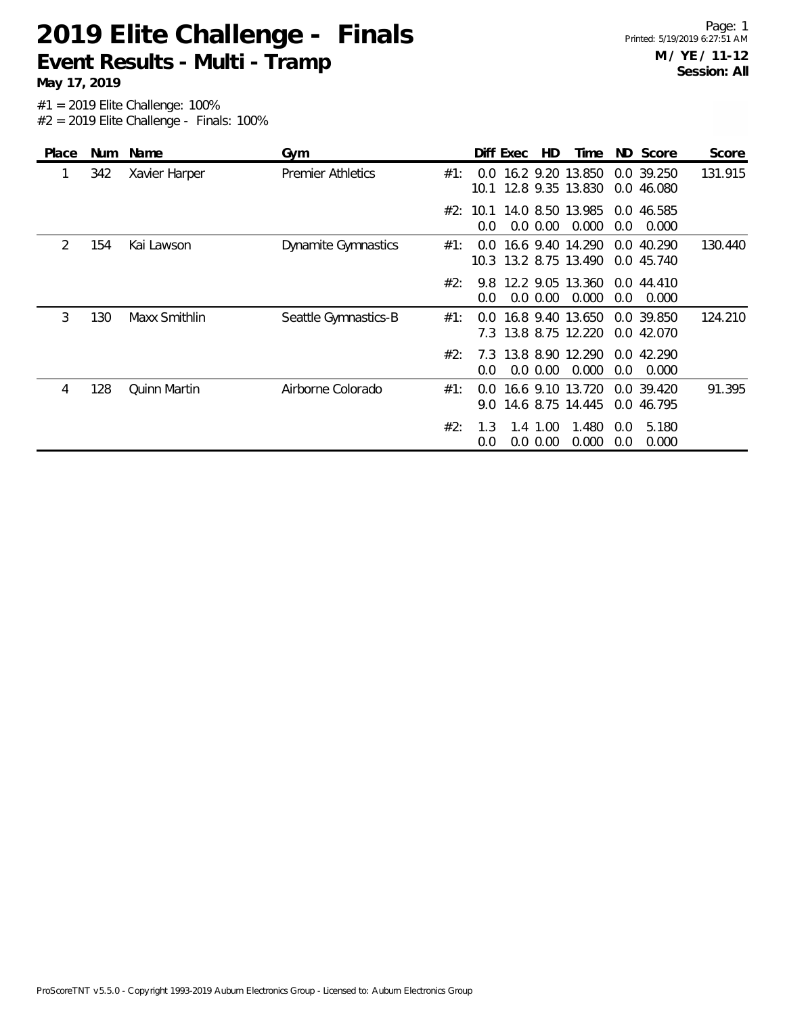**May 17, 2019**

| Place | Num | Name                | Gym                        |     |                | Diff Exec | HD.                     | Time                                      |            | ND Score                 | Score   |
|-------|-----|---------------------|----------------------------|-----|----------------|-----------|-------------------------|-------------------------------------------|------------|--------------------------|---------|
| 1     | 342 | Xavier Harper       | <b>Premier Athletics</b>   | #1: | 0.0            |           |                         | 16.2 9.20 13.850<br>10.1 12.8 9.35 13.830 |            | 0.0 39.250<br>0.0 46.080 | 131.915 |
|       |     |                     |                            | #2: | 0.0            |           | $0.0\ 0.00$             | 10.1 14.0 8.50 13.985<br>0.000            | 0.0        | 0.0 46.585<br>0.000      |         |
| 2     | 154 | Kai Lawson          | <b>Dynamite Gymnastics</b> | #1: | 0.0            |           |                         | 16.6 9.40 14.290<br>10.3 13.2 8.75 13.490 | 0.0        | 40.290<br>0.0 45.740     | 130.440 |
|       |     |                     |                            | #2: | 9.8<br>0.0     |           | $0.0\,0.00$             | 12.2 9.05 13.360<br>0.000                 | 0.0        | 0.0 44.410<br>0.000      |         |
| 3     | 130 | Maxx Smithlin       | Seattle Gymnastics-B       | #1: | 0.0<br>7.3     |           |                         | 16.8 9.40 13.650<br>13.8 8.75 12.220      |            | 0.0 39.850<br>0.0 42.070 | 124.210 |
|       |     |                     |                            | #2: | $0.0^{\circ}$  |           | $0.0\,0.00$             | 7.3 13.8 8.90 12.290<br>0.000             | 0.0        | 0.0 42.290<br>0.000      |         |
| 4     | 128 | <b>Ouinn Martin</b> | Airborne Colorado          | #1: | $0.0^-$<br>9.0 |           |                         | 16.6 9.10 13.720<br>14.6 8.75 14.445      |            | 0.0 39.420<br>0.0 46.795 | 91.395  |
|       |     |                     |                            | #2: | 1.3<br>0.0     |           | 1.4 1.00<br>$0.0\ 0.00$ | 1.480<br>0.000                            | 0.0<br>0.0 | 5.180<br>0.000           |         |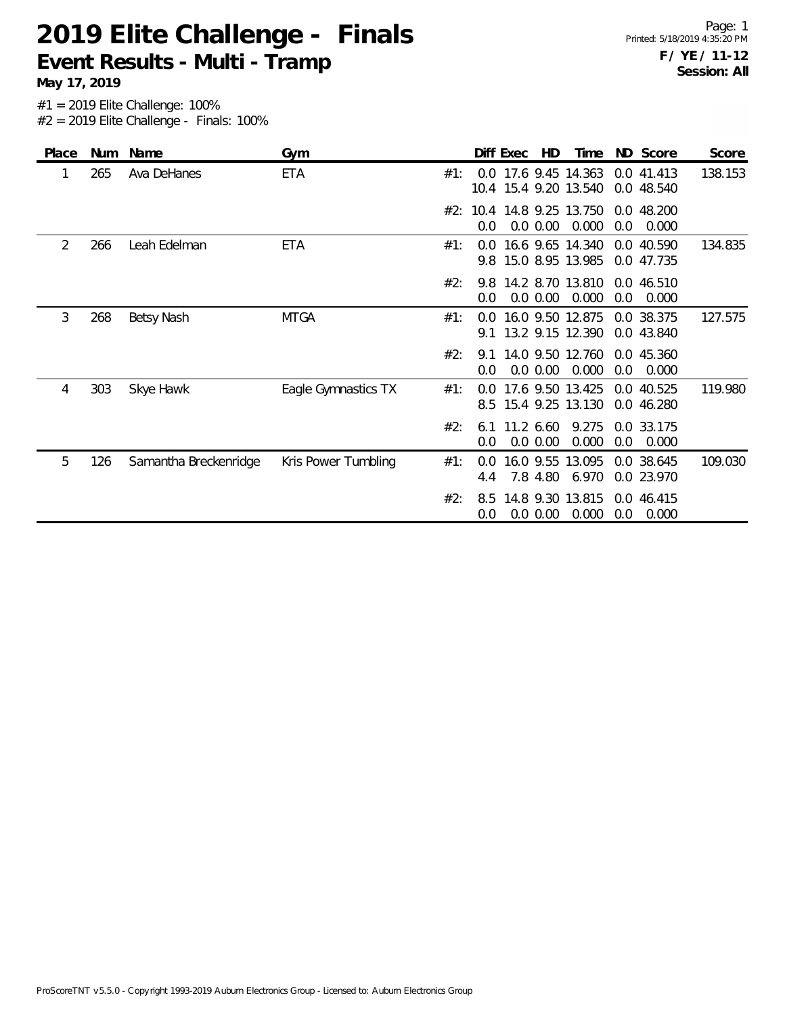**May 17, 2019**

| Place | Num | Name                  | Gym                 |     |            | Diff Exec | HD       | Time                                          |     | ND Score                 | Score   |
|-------|-----|-----------------------|---------------------|-----|------------|-----------|----------|-----------------------------------------------|-----|--------------------------|---------|
|       | 265 | Ava DeHanes           | <b>ETA</b>          | #1: |            |           |          | 0.0 17.6 9.45 14.363<br>10.4 15.4 9.20 13.540 |     | 0.0 41.413<br>0.0 48.540 | 138.153 |
|       |     |                       |                     |     | 0.0        |           | 0.0 0.00 | #2: 10.4 14.8 9.25 13.750<br>0.000            | 0.0 | 0.0 48.200<br>0.000      |         |
| 2     | 266 | Leah Edelman          | <b>ETA</b>          | #1: | 0.0        |           |          | 16.6 9.65 14.340<br>9.8 15.0 8.95 13.985      |     | 0.0 40.590<br>0.0 47.735 | 134.835 |
|       |     |                       |                     | #2: | 0.0        |           | 0.0 0.00 | 9.8 14.2 8.70 13.810<br>0.000                 | 0.0 | 0.0 46.510<br>0.000      |         |
| 3     | 268 | Betsy Nash            | <b>MTGA</b>         | #1: | 0.0<br>91  |           |          | 16.0 9.50 12.875<br>13.2 9.15 12.390          |     | 0.0 38.375<br>0.0 43.840 | 127.575 |
|       |     |                       |                     | #2: | 9.1<br>0.0 |           | 0.0 0.00 | 14.0 9.50 12.760<br>0.000                     | 0.0 | 0.0 45.360<br>0.000      |         |
| 4     | 303 | Skye Hawk             | Eagle Gymnastics TX | #1: | 0.0        |           |          | 17.6 9.50 13.425<br>8.5 15.4 9.25 13.130      |     | 0.0 40.525<br>0.0 46.280 | 119.980 |
|       |     |                       |                     | #2: | 6.1<br>0.0 | 11.2 6.60 | 0.0 0.00 | 9.275<br>0.000                                | 0.0 | 0.0 33.175<br>0.000      |         |
| 5     | 126 | Samantha Breckenridge | Kris Power Tumbling | #1: | 0.0<br>4.4 |           | 7.8 4.80 | 16.0 9.55 13.095<br>6.970                     |     | 0.0 38.645<br>0.0 23.970 | 109.030 |
|       |     |                       |                     | #2: | 8.5<br>0.0 |           | 0.0 0.00 | 14.8 9.30 13.815<br>0.000                     | 0.0 | 0.0 46.415<br>0.000      |         |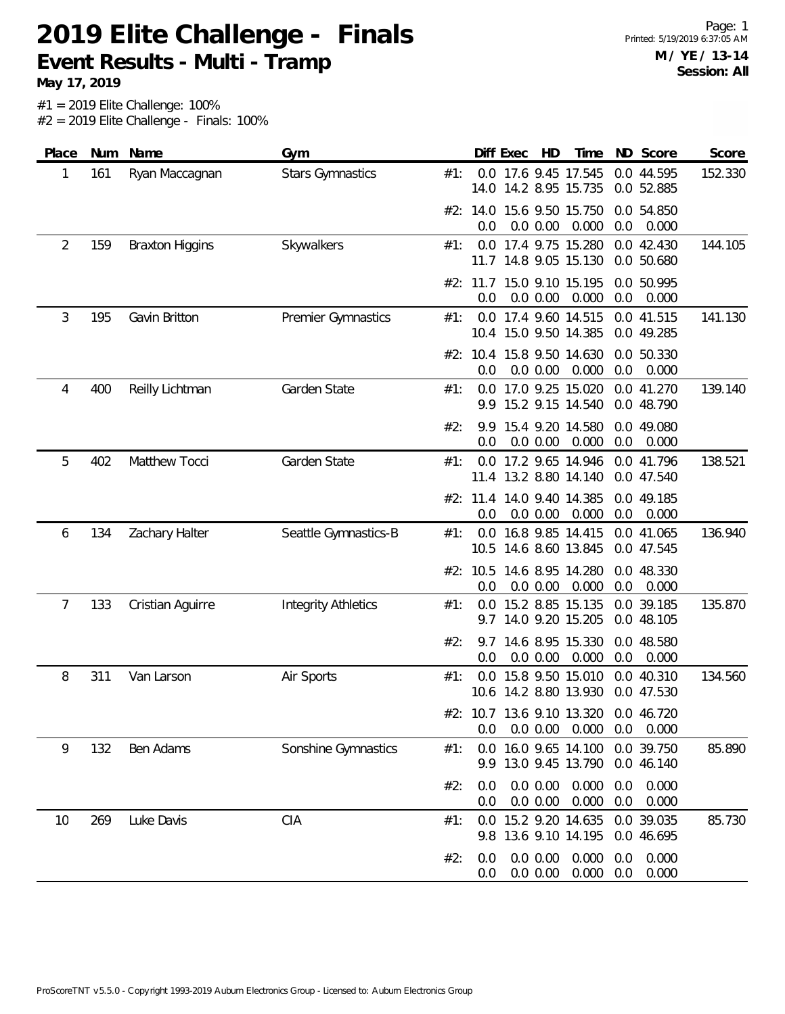**May 17, 2019**

| Score                                                                                                                                              | Diff Exec<br>HD<br>ND Score<br>Time | Gym | Name | Num | Place |
|----------------------------------------------------------------------------------------------------------------------------------------------------|-------------------------------------|-----|------|-----|-------|
| 0.0 17.6 9.45 17.545<br><b>Stars Gymnastics</b><br>0.0 44.595<br>152.330<br>Ryan Maccagnan<br>#1:<br>14.2 8.95 15.735<br>14.0<br>0.0 52.885        |                                     |     |      | 161 | 1     |
| #2: 14.0 15.6 9.50 15.750<br>0.0 54.850<br>0.000<br>0.0<br>0.000<br>0.0 0.00<br>0.0                                                                |                                     |     |      |     |       |
| 0.0 17.4 9.75 15.280<br>144.105<br>Skywalkers<br>0.0 42.430<br><b>Braxton Higgins</b><br>#1:<br>11.7 14.8 9.05 15.130<br>0.0 50.680                |                                     |     |      | 159 | 2     |
| 15.0 9.10 15.195<br>0.0 50.995<br>#2: 11.7<br>0.0 0.00<br>0.000<br>0.0<br>0.000<br>0.0                                                             |                                     |     |      |     |       |
| Gavin Britton<br>17.4 9.60 14.515<br>0.0 41.515<br>141.130<br>Premier Gymnastics<br>#1:<br>0.0<br>10.4 15.0 9.50 14.385<br>0.0 49.285              |                                     |     |      | 195 | 3     |
| 0.0 50.330<br>#2: 10.4 15.8 9.50 14.630<br>0.000<br>0.0<br>0.000<br>0.0<br>0.0 0.00                                                                |                                     |     |      |     |       |
| Garden State<br>0.0 17.0 9.25 15.020<br>0.0 41.270<br>139.140<br>Reilly Lichtman<br>#1:<br>15.2 9.15 14.540<br>0.0 48.790<br>9.9                   |                                     |     |      | 400 | 4     |
| #2:<br>15.4 9.20 14.580<br>0.0 49.080<br>9.9<br>0.0 0.00<br>0.000<br>0.0<br>0.000<br>0.0                                                           |                                     |     |      |     |       |
| Matthew Tocci<br>Garden State<br>0.0 17.2 9.65 14.946<br>138.521<br>0.0 41.796<br>#1:<br>11.4 13.2 8.80 14.140<br>0.0 47.540                       |                                     |     |      | 402 | 5     |
| #2: 11.4 14.0 9.40 14.385<br>0.0 49.185<br>0.0 0.00<br>0.000<br>0.0<br>0.000<br>0.0                                                                |                                     |     |      |     |       |
| Seattle Gymnastics-B<br>16.8 9.85 14.415<br>0.0 41.065<br>136.940<br>Zachary Halter<br>#1:<br>0.0<br>10.5 14.6 8.60 13.845<br>0.0 47.545           |                                     |     |      | 134 | 6     |
| 0.0 48.330<br>#2: 10.5 14.6 8.95 14.280<br>0.0<br>0.0 0.00<br>0.000<br>0.0<br>0.000                                                                |                                     |     |      |     |       |
| 15.2 8.85 15.135<br>0.0 39.185<br>135.870<br>Cristian Aguirre<br><b>Integrity Athletics</b><br>#1:<br>0.0<br>14.0 9.20 15.205<br>0.0 48.105<br>9.7 |                                     |     |      | 133 | 7     |
| 14.6 8.95 15.330<br>0.0 48.580<br>#2:<br>9.7<br>0.000<br>0.0<br>0.0 0.00<br>0.0<br>0.000                                                           |                                     |     |      |     |       |
| 15.8 9.50 15.010<br>134.560<br>Van Larson<br>Air Sports<br>0.0<br>0.0 40.310<br>#1:<br>10.6 14.2 8.80 13.930<br>0.0 47.530                         |                                     |     |      | 311 | 8     |
| #2: 10.7 13.6 9.10 13.320 0.0 46.720<br>0.000<br>0.000<br>0.0<br>0.0 0.00<br>0.0                                                                   |                                     |     |      |     |       |
| 0.0 39.750<br>Ben Adams<br>Sonshine Gymnastics<br>16.0 9.65 14.100<br>85.890<br>#1:<br>0.0<br>9.9 13.0 9.45 13.790<br>0.0 46.140                   |                                     |     |      | 132 | 9     |
| #2:<br>0.0 0.00<br>0.000<br>0.0<br>0.000<br>0.0<br>0.000<br>0.0<br>0.0 0.00<br>0.0<br>0.000                                                        |                                     |     |      |     |       |
| CIA<br>Luke Davis<br>15.2 9.20 14.635<br>0.0 39.035<br>85.730<br>#1:<br>0.0<br>13.6 9.10 14.195<br>0.0 46.695<br>9.8                               |                                     |     |      | 269 | 10    |
| 0.0 0.00<br>0.000<br>0.000<br>0.0<br>#2:<br>0.0<br>0.000<br>0.0 0.00<br>0.0<br>0.000<br>0.0                                                        |                                     |     |      |     |       |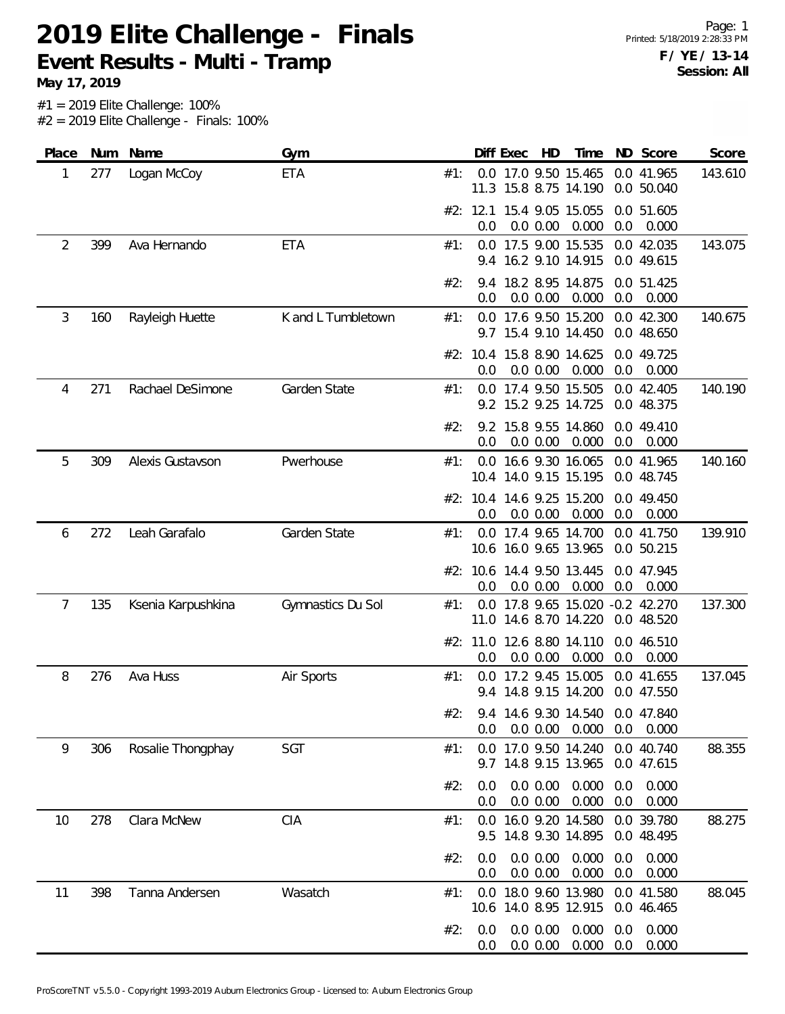Page: 1 Printed: 5/18/2019 2:28:33 PM **F / YE / 13-14 Session: All**

**May 17, 2019**

| Place |     | Num Name           | Gym                |     |            | Diff Exec | HD                   | Time                                                  |            | ND Score                 | Score   |
|-------|-----|--------------------|--------------------|-----|------------|-----------|----------------------|-------------------------------------------------------|------------|--------------------------|---------|
| 1     | 277 | Logan McCoy        | ETA                | #1: | 11.3       |           |                      | 0.0 17.0 9.50 15.465<br>15.8 8.75 14.190              |            | 0.0 41.965<br>0.0 50.040 | 143.610 |
|       |     |                    |                    |     | 0.0        |           | 0.0 0.00             | #2: 12.1 15.4 9.05 15.055<br>0.000                    | 0.0        | 0.0 51.605<br>0.000      |         |
| 2     | 399 | Ava Hernando       | <b>ETA</b>         | #1: | 9.4        |           |                      | 0.0 17.5 9.00 15.535<br>16.2 9.10 14.915              |            | 0.0 42.035<br>0.0 49.615 | 143.075 |
|       |     |                    |                    | #2: | 9.4<br>0.0 |           | 0.0 0.00             | 18.2 8.95 14.875<br>0.000                             | 0.0        | 0.0 51.425<br>0.000      |         |
| 3     | 160 | Rayleigh Huette    | K and L Tumbletown | #1: | 0.0        |           |                      | 17.6 9.50 15.200<br>9.7 15.4 9.10 14.450              |            | 0.0 42.300<br>0.0 48.650 | 140.675 |
|       |     |                    |                    |     | 0.0        |           | 0.0 0.00             | #2: 10.4 15.8 8.90 14.625<br>0.000                    | 0.0        | 0.0 49.725<br>0.000      |         |
| 4     | 271 | Rachael DeSimone   | Garden State       | #1: |            |           |                      | 0.0 17.4 9.50 15.505<br>9.2 15.2 9.25 14.725          |            | 0.0 42.405<br>0.0 48.375 | 140.190 |
|       |     |                    |                    | #2: | 0.0        |           | 0.0 0.00             | 9.2 15.8 9.55 14.860<br>0.000                         | 0.0        | 0.0 49.410<br>0.000      |         |
| 5     | 309 | Alexis Gustavson   | Pwerhouse          | #1: |            |           |                      | 0.0 16.6 9.30 16.065<br>10.4 14.0 9.15 15.195         |            | 0.0 41.965<br>0.0 48.745 | 140.160 |
|       |     |                    |                    |     | 0.0        |           | 0.0 0.00             | #2: 10.4 14.6 9.25 15.200<br>0.000                    | 0.0        | 0.0 49.450<br>0.000      |         |
| 6     | 272 | Leah Garafalo      | Garden State       | #1: |            |           |                      | 0.0 17.4 9.65 14.700<br>10.6 16.0 9.65 13.965         |            | 0.0 41.750<br>0.0 50.215 | 139.910 |
|       |     |                    |                    |     | 0.0        |           | 0.0 0.00             | #2: 10.6 14.4 9.50 13.445<br>0.000                    | 0.0        | 0.0 47.945<br>0.000      |         |
| 7     | 135 | Ksenia Karpushkina | Gymnastics Du Sol  | #1: | 0.0        |           |                      | 17.8 9.65 15.020 -0.2 42.270<br>11.0 14.6 8.70 14.220 |            | 0.0 48.520               | 137.300 |
|       |     |                    |                    |     | 0.0        |           | 0.0 0.00             | #2: 11.0 12.6 8.80 14.110<br>0.000                    | 0.0        | 0.0 46.510<br>0.000      |         |
| 8     | 276 | Ava Huss           | Air Sports         | #1: |            |           |                      | 0.0 17.2 9.45 15.005<br>9.4 14.8 9.15 14.200          |            | 0.0 41.655<br>0.0 47.550 | 137.045 |
|       |     |                    |                    | #2: | 0.0        |           | 0.0 0.00             | 9.4 14.6 9.30 14.540 0.0 47.840<br>0.000              | 0.0        | 0.000                    |         |
| 9     | 306 | Rosalie Thongphay  | SGT                | #1: |            |           |                      | 0.0 17.0 9.50 14.240<br>9.7 14.8 9.15 13.965          |            | 0.0 40.740<br>0.0 47.615 | 88.355  |
|       |     |                    |                    | #2: | 0.0<br>0.0 |           | 0.0 0.00<br>0.0 0.00 | 0.000<br>0.000                                        | 0.0<br>0.0 | 0.000<br>0.000           |         |
| 10    | 278 | Clara McNew        | CIA                | #1: | 0.0<br>9.5 |           |                      | 16.0 9.20 14.580<br>14.8 9.30 14.895                  |            | 0.0 39.780<br>0.0 48.495 | 88.275  |
|       |     |                    |                    | #2: | 0.0<br>0.0 |           | 0.0 0.00<br>0.0 0.00 | 0.000<br>0.000                                        | 0.0<br>0.0 | 0.000<br>0.000           |         |
| 11    | 398 | Tanna Andersen     | Wasatch            | #1: | 0.0        |           |                      | 18.0 9.60 13.980<br>10.6 14.0 8.95 12.915             |            | 0.0 41.580<br>0.0 46.465 | 88.045  |
|       |     |                    |                    | #2: | 0.0<br>0.0 |           | 0.0 0.00<br>0.0 0.00 | 0.000<br>0.000                                        | 0.0<br>0.0 | 0.000<br>0.000           |         |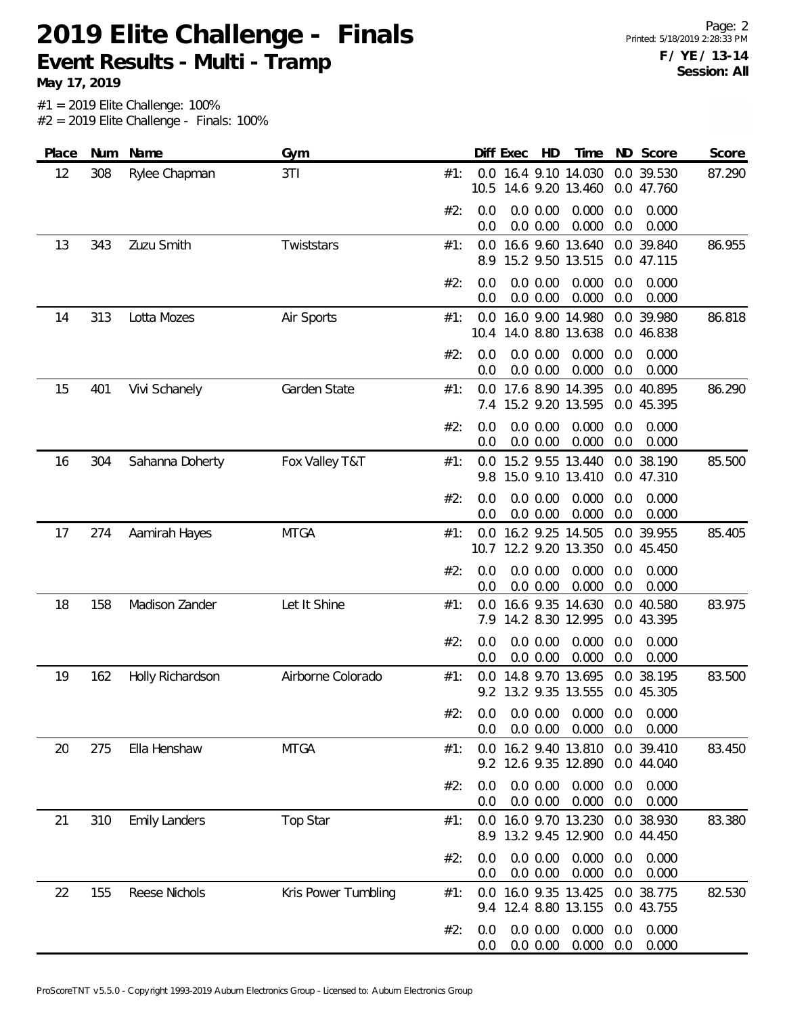**May 17, 2019**

| Place | Num | Name                 | Gym                 |     |            | Diff Exec | HD                   | Time                                          |            | ND Score                 | Score  |
|-------|-----|----------------------|---------------------|-----|------------|-----------|----------------------|-----------------------------------------------|------------|--------------------------|--------|
| 12    | 308 | Rylee Chapman        | 3TI                 | #1: |            |           |                      | 0.0 16.4 9.10 14.030<br>10.5 14.6 9.20 13.460 |            | 0.0 39.530<br>0.0 47.760 | 87.290 |
|       |     |                      |                     | #2: | 0.0<br>0.0 |           | 0.0 0.00<br>0.0 0.00 | 0.000<br>0.000                                | 0.0<br>0.0 | 0.000<br>0.000           |        |
| 13    | 343 | Zuzu Smith           | Twiststars          | #1: | 8.9        |           |                      | 0.0 16.6 9.60 13.640<br>15.2 9.50 13.515      |            | 0.0 39.840<br>0.0 47.115 | 86.955 |
|       |     |                      |                     | #2: | 0.0<br>0.0 |           | 0.0 0.00<br>0.0 0.00 | 0.000<br>0.000                                | 0.0<br>0.0 | 0.000<br>0.000           |        |
| 14    | 313 | Lotta Mozes          | Air Sports          | #1: | 0.0        |           |                      | 16.0 9.00 14.980<br>10.4 14.0 8.80 13.638     |            | 0.0 39.980<br>0.0 46.838 | 86.818 |
|       |     |                      |                     | #2: | 0.0<br>0.0 |           | 0.0 0.00<br>0.0 0.00 | 0.000<br>0.000                                | 0.0<br>0.0 | 0.000<br>0.000           |        |
| 15    | 401 | Vivi Schanely        | Garden State        | #1: | 0.0<br>7.4 |           |                      | 17.6 8.90 14.395<br>15.2 9.20 13.595          |            | 0.0 40.895<br>0.0 45.395 | 86.290 |
|       |     |                      |                     | #2: | 0.0<br>0.0 |           | 0.0 0.00<br>0.0 0.00 | 0.000<br>0.000                                | 0.0<br>0.0 | 0.000<br>0.000           |        |
| 16    | 304 | Sahanna Doherty      | Fox Valley T&T      | #1: | 0.0<br>9.8 |           |                      | 15.2 9.55 13.440<br>15.0 9.10 13.410          |            | 0.0 38.190<br>0.0 47.310 | 85.500 |
|       |     |                      |                     | #2: | 0.0<br>0.0 |           | 0.0 0.00<br>0.0 0.00 | 0.000<br>0.000                                | 0.0<br>0.0 | 0.000<br>0.000           |        |
| 17    | 274 | Aamirah Hayes        | <b>MTGA</b>         | #1: | 0.0        |           |                      | 16.2 9.25 14.505<br>10.7 12.2 9.20 13.350     |            | 0.0 39.955<br>0.0 45.450 | 85.405 |
|       |     |                      |                     | #2: | 0.0<br>0.0 |           | 0.0 0.00<br>0.0 0.00 | 0.000<br>0.000                                | 0.0<br>0.0 | 0.000<br>0.000           |        |
| 18    | 158 | Madison Zander       | Let It Shine        | #1: | 0.0        |           |                      | 16.6 9.35 14.630<br>7.9 14.2 8.30 12.995      |            | 0.0 40.580<br>0.0 43.395 | 83.975 |
|       |     |                      |                     | #2: | 0.0<br>0.0 |           | 0.0 0.00<br>0.0 0.00 | 0.000<br>0.000                                | 0.0<br>0.0 | 0.000<br>0.000           |        |
| 19    | 162 | Holly Richardson     | Airborne Colorado   | #1: | 0.0<br>9.2 |           |                      | 14.8 9.70 13.695<br>13.2 9.35 13.555          | 0.0        | 38.195<br>0.0 45.305     | 83.500 |
|       |     |                      |                     | #2: | 0.0<br>0.0 |           | 0.0 0.00<br>0.0 0.00 | 0.000<br>0.000                                | 0.0<br>0.0 | 0.000<br>0.000           |        |
| 20    | 275 | Ella Henshaw         | <b>MTGA</b>         | #1: |            |           |                      | 0.0 16.2 9.40 13.810<br>9.2 12.6 9.35 12.890  |            | 0.0 39.410<br>0.0 44.040 | 83.450 |
|       |     |                      |                     | #2: | 0.0<br>0.0 |           | 0.0 0.00<br>0.0 0.00 | 0.000<br>0.000                                | 0.0<br>0.0 | 0.000<br>0.000           |        |
| 21    | 310 | <b>Emily Landers</b> | Top Star            | #1: | 8.9        |           |                      | 0.0 16.0 9.70 13.230<br>13.2 9.45 12.900      |            | 0.0 38.930<br>0.0 44.450 | 83.380 |
|       |     |                      |                     | #2: | 0.0<br>0.0 |           | 0.0 0.00<br>0.0 0.00 | 0.000<br>0.000                                | 0.0<br>0.0 | 0.000<br>0.000           |        |
| 22    | 155 | Reese Nichols        | Kris Power Tumbling | #1: | 0.0<br>9.4 |           |                      | 16.0 9.35 13.425<br>12.4 8.80 13.155          |            | 0.0 38.775<br>0.0 43.755 | 82.530 |
|       |     |                      |                     | #2: | 0.0<br>0.0 |           | 0.0 0.00<br>0.0 0.00 | 0.000<br>0.000                                | 0.0<br>0.0 | 0.000<br>0.000           |        |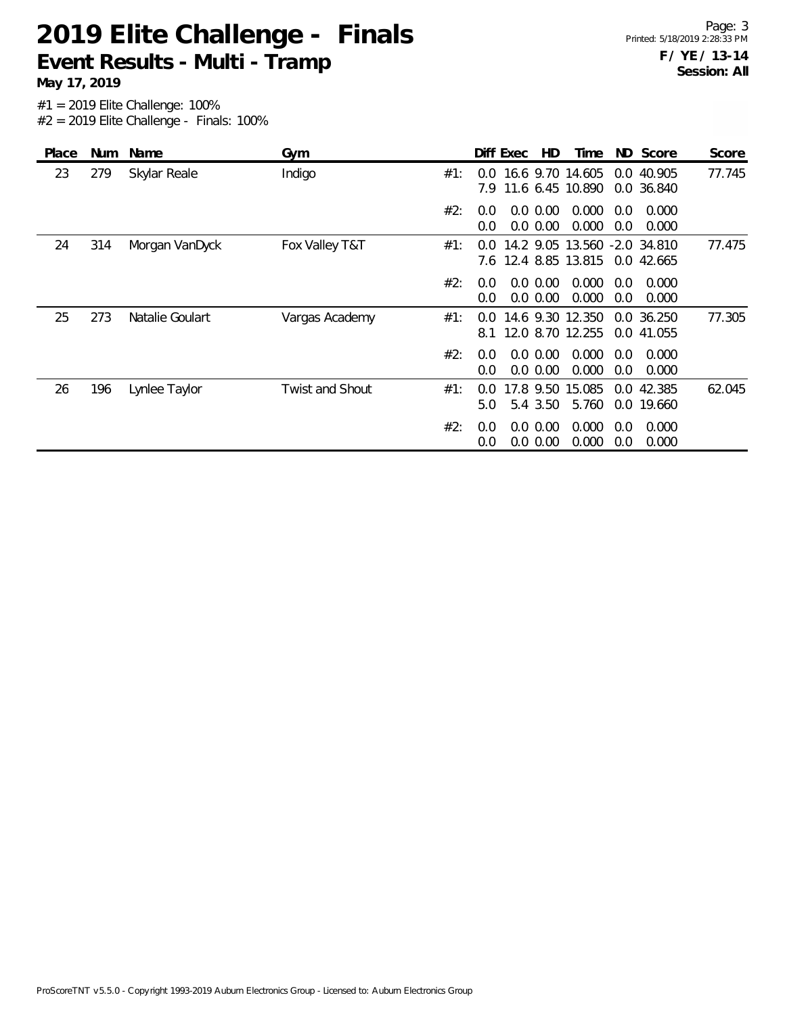**May 17, 2019**

| Place | <b>Num</b> | Name            | Gym                    |     |                      | Diff Exec | HD                      | Time                                             |            | ND Score                 | Score  |
|-------|------------|-----------------|------------------------|-----|----------------------|-----------|-------------------------|--------------------------------------------------|------------|--------------------------|--------|
| 23    | 279        | Skylar Reale    | Indigo                 | #1: | $0.0^{\circ}$<br>7.9 |           |                         | 16.6 9.70 14.605<br>11.6 6.45 10.890             |            | 0.0 40.905<br>0.0 36.840 | 77.745 |
|       |            |                 |                        | #2: | 0.0<br>0.0           | 0.0       | $0.0\,0.00$<br>0.00     | 0.000<br>0.000                                   | 0.0<br>0.0 | 0.000<br>0.000           |        |
| 24    | 314        | Morgan VanDyck  | Fox Valley T&T         | #1: | 0.0<br>7.6           |           |                         | 14.2 9.05 13.560 -2.0 34.810<br>12.4 8.85 13.815 |            | 0.0 42.665               | 77.475 |
|       |            |                 |                        | #2: | 0.0<br>0.0           |           | 0.0 0.00<br>0.0 0.00    | 0.000<br>0.000                                   | 0.0<br>0.0 | 0.000<br>0.000           |        |
| 25    | 273        | Natalie Goulart | Vargas Academy         | #1: | 0.0<br>8.1           |           |                         | 14.6 9.30 12.350<br>12.0 8.70 12.255             |            | 0.0 36.250<br>0.0 41.055 | 77.305 |
|       |            |                 |                        | #2: | 0.0<br>0.0           |           | $0.0\,0.00$<br>0.0 0.00 | 0.000<br>0.000                                   | 0.0<br>0.0 | 0.000<br>0.000           |        |
| 26    | 196        | Lynlee Taylor   | <b>Twist and Shout</b> | #1: | 0.0<br>5.0           |           | 17.8 9.50<br>5.4 3.50   | 15.085<br>5.760                                  |            | 0.0 42.385<br>0.0 19.660 | 62.045 |
|       |            |                 |                        | #2: | 0.0<br>0.0           |           | 0.0 0.00<br>$0.0\ 0.00$ | 0.000<br>0.000                                   | 0.0<br>0.0 | 0.000<br>0.000           |        |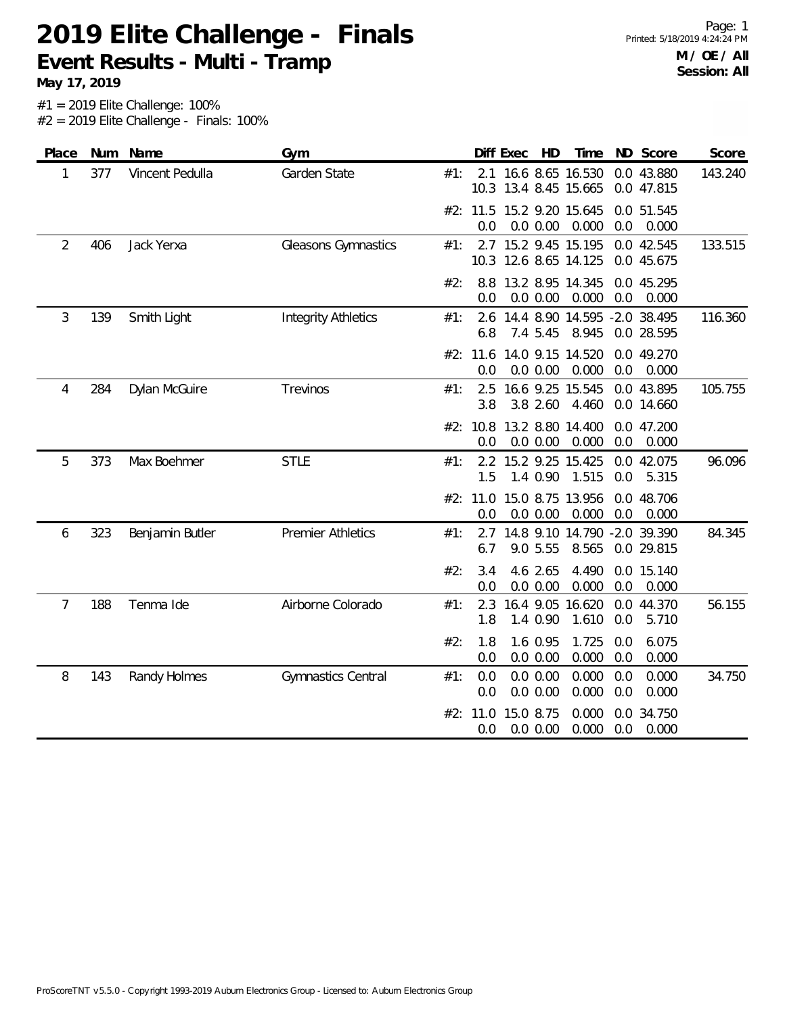**May 17, 2019**

| Place          |     | Num Name        | Gym                        |     |                 | Diff Exec | HD                   | Time                                     |            | ND Score                 | Score   |
|----------------|-----|-----------------|----------------------------|-----|-----------------|-----------|----------------------|------------------------------------------|------------|--------------------------|---------|
| 1              | 377 | Vincent Pedulla | Garden State               | #1: | 2.1<br>10.3     |           |                      | 16.6 8.65 16.530<br>13.4 8.45 15.665     |            | 0.0 43.880<br>0.0 47.815 | 143.240 |
|                |     |                 |                            |     | #2: 11.5<br>0.0 |           | 0.0 0.00             | 15.2 9.20 15.645<br>0.000                | 0.0        | 0.0 51.545<br>0.000      |         |
| $\overline{2}$ | 406 | Jack Yerxa      | Gleasons Gymnastics        | #1: | 10.3            |           |                      | 2.7 15.2 9.45 15.195<br>12.6 8.65 14.125 |            | 0.0 42.545<br>0.0 45.675 | 133.515 |
|                |     |                 |                            | #2: | 8.8<br>0.0      |           | 0.0 0.00             | 13.2 8.95 14.345<br>0.000                | 0.0        | 0.0 45.295<br>0.000      |         |
| 3              | 139 | Smith Light     | <b>Integrity Athletics</b> | #1: | 2.6<br>6.8      |           | 7.4 5.45             | 14.4 8.90 14.595 -2.0 38.495<br>8.945    |            | 0.0 28.595               | 116.360 |
|                |     |                 |                            |     | #2: 11.6<br>0.0 |           | 0.0 0.00             | 14.0 9.15 14.520<br>0.000                | 0.0        | 0.0 49.270<br>0.000      |         |
| 4              | 284 | Dylan McGuire   | Trevinos                   | #1: | 2.5<br>3.8      |           | 3.8 2.60             | 16.6 9.25 15.545<br>4.460                |            | 0.0 43.895<br>0.0 14.660 | 105.755 |
|                |     |                 |                            |     | #2: 10.8<br>0.0 |           | 0.0 0.00             | 13.2 8.80 14.400<br>0.000                | 0.0        | 0.0 47.200<br>0.000      |         |
| 5              | 373 | Max Boehmer     | <b>STLE</b>                | #1: | 2.2<br>1.5      |           | 1.4 0.90             | 15.2 9.25 15.425<br>1.515                | 0.0        | 0.0 42.075<br>5.315      | 96.096  |
|                |     |                 |                            |     | #2: 11.0<br>0.0 |           | 0.0 0.00             | 15.0 8.75 13.956<br>0.000                | 0.0        | 0.0 48.706<br>0.000      |         |
| 6              | 323 | Benjamin Butler | <b>Premier Athletics</b>   | #1: | 2.7<br>6.7      |           | 9.0 5.55             | 14.8 9.10 14.790 -2.0 39.390<br>8.565    |            | 0.0 29.815               | 84.345  |
|                |     |                 |                            | #2: | 3.4<br>0.0      |           | 4.6 2.65<br>0.0 0.00 | 4.490<br>0.000                           | 0.0        | 0.0 15.140<br>0.000      |         |
| 7              | 188 | Tenma Ide       | Airborne Colorado          | #1: | 2.3<br>1.8      |           | 1.4 0.90             | 16.4 9.05 16.620<br>1.610                | 0.0        | 0.0 44.370<br>5.710      | 56.155  |
|                |     |                 |                            | #2: | 1.8<br>0.0      |           | 1.6 0.95<br>0.0 0.00 | 1.725<br>0.000                           | 0.0<br>0.0 | 6.075<br>0.000           |         |
| 8              | 143 | Randy Holmes    | Gymnastics Central         | #1: | 0.0<br>0.0      |           | 0.0 0.00<br>0.0 0.00 | 0.000<br>0.000                           | 0.0<br>0.0 | 0.000<br>0.000           | 34.750  |
|                |     |                 |                            |     | #2: 11.0<br>0.0 | 15.0 8.75 | 0.0 0.00             | 0.000<br>0.000                           | 0.0<br>0.0 | 34.750<br>0.000          |         |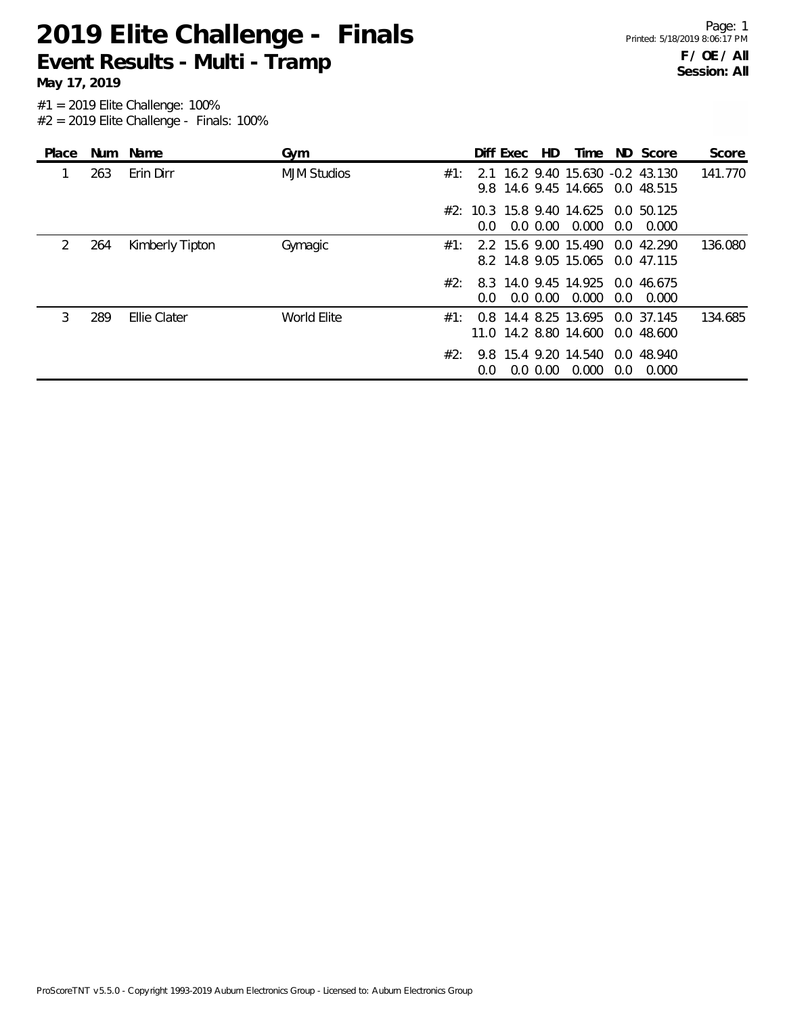**May 17, 2019**

| Place |     | Num Name        | Gym                |      |               | Diff Exec | HD.         | Time                                                                |     | ND Score      | Score   |
|-------|-----|-----------------|--------------------|------|---------------|-----------|-------------|---------------------------------------------------------------------|-----|---------------|---------|
|       | 263 | Erin Dirr       | <b>MJM Studios</b> | #1:  |               |           |             | 2.1 16.2 9.40 15.630 -0.2 43.130<br>9.8 14.6 9.45 14.665 0.0 48.515 |     |               | 141.770 |
|       |     |                 |                    |      | $0.0^{\circ}$ |           | $0.0\,0.00$ | #2: 10.3 15.8 9.40 14.625 0.0 50.125<br>0.000                       | 0.0 | 0.000         |         |
| 2     | 264 | Kimberly Tipton | Gymagic            | #1:  |               |           |             | 2.2 15.6 9.00 15.490<br>8.2 14.8 9.05 15.065 0.0 47.115             |     | $0.0\,42.290$ | 136.080 |
|       |     |                 |                    | #2:  | $0.0^{\circ}$ |           | $0.0\,0.00$ | 8.3 14.0 9.45 14.925 0.0 46.675<br>0.000                            | 0.0 | 0.000         |         |
| 3     | 289 | Ellie Clater    | World Elite        | #1 · |               |           |             | 0.8 14.4 8.25 13.695 0.0 37.145<br>11.0 14.2 8.80 14.600 0.0 48.600 |     |               | 134.685 |
|       |     |                 |                    | #2∙  | 0.0           |           | $0.0\,0.00$ | 9.8 15.4 9.20 14.540 0.0 48.940<br>0.000                            | 0.0 | 0.000         |         |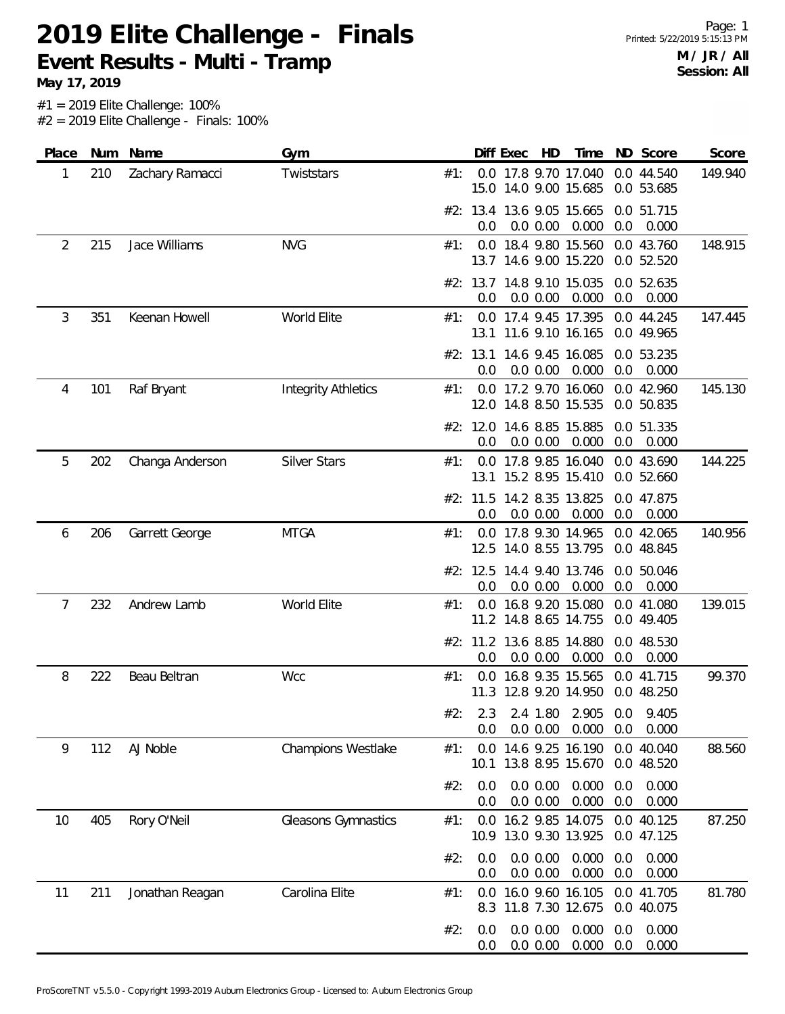**May 17, 2019**

| Place | Num | Name            | Gym                        |     | Diff Exec<br>HD<br>ND Score<br>Score<br>Time                                              |
|-------|-----|-----------------|----------------------------|-----|-------------------------------------------------------------------------------------------|
| 1     | 210 | Zachary Ramacci | Twiststars                 | #1: | 0.0 17.8 9.70 17.040<br>0.0 44.540<br>149.940<br>15.0 14.0 9.00 15.685<br>0.0 53.685      |
|       |     |                 |                            |     | #2: 13.4 13.6 9.05 15.665<br>0.0 51.715<br>0.000<br>0.0<br>0.0<br>0.0 0.00<br>0.000       |
| 2     | 215 | Jace Williams   | <b>NVG</b>                 | #1: | 0.0 18.4 9.80 15.560<br>0.0 43.760<br>148.915<br>13.7 14.6 9.00 15.220<br>0.0 52.520      |
|       |     |                 |                            |     | #2: 13.7 14.8 9.10 15.035<br>0.0 52.635<br>$0.0$ $0.00$ $0.000$<br>0.0<br>0.000<br>0.0    |
| 3     | 351 | Keenan Howell   | World Elite                | #1: | 0.0 17.4 9.45 17.395<br>0.0 44.245<br>147.445<br>13.1 11.6 9.10 16.165<br>0.0 49.965      |
|       |     |                 |                            |     | 14.6 9.45 16.085<br>0.0 53.235<br>#2: 13.1<br>0.0<br>0.0 0.00<br>0.000<br>0.0<br>0.000    |
| 4     | 101 | Raf Bryant      | <b>Integrity Athletics</b> | #1: | 0.0 17.2 9.70 16.060<br>0.0 42.960<br>145.130<br>12.0 14.8 8.50 15.535<br>0.0 50.835      |
|       |     |                 |                            |     | #2: 12.0 14.6 8.85 15.885<br>0.0 51.335<br>0.000<br>0.0<br>0.0<br>0.0 0.00<br>0.000       |
| 5     | 202 | Changa Anderson | <b>Silver Stars</b>        | #1: | 144.225<br>0.0 17.8 9.85 16.040<br>0.0 43.690<br>13.1 15.2 8.95 15.410<br>0.0 52.660      |
|       |     |                 |                            |     | #2: 11.5 14.2 8.35 13.825<br>0.0 47.875<br>0.0 0.00<br>0.000<br>0.0<br>0.000<br>0.0       |
| 6     | 206 | Garrett George  | <b>MTGA</b>                | #1: | 0.0 17.8 9.30 14.965<br>0.0 42.065<br>140.956<br>12.5 14.0 8.55 13.795<br>0.0 48.845      |
|       |     |                 |                            |     | 14.4 9.40 13.746<br>#2: 12.5<br>0.0 50.046<br>0.000<br>0.0<br>0.0<br>0.0 0.00<br>0.000    |
| 7     | 232 | Andrew Lamb     | World Elite                | #1: | 0.0 16.8 9.20 15.080<br>0.0 41.080<br>139.015<br>11.2 14.8 8.65 14.755<br>0.0 49.405      |
|       |     |                 |                            |     | #2: 11.2 13.6 8.85 14.880<br>0.0 48.530<br>0.000<br>0.0<br>0.0<br>0.0 0.00<br>0.000       |
| 8     | 222 | Beau Beltran    | Wcc                        | #1: | 99.370<br>16.8 9.35 15.565<br>0.0 41.715<br>0.0<br>11.3 12.8 9.20 14.950<br>0.0 48.250    |
|       |     |                 |                            | #2: | 2.4 1.80 2.905 0.0<br>9.405<br>2.3<br>0.0 0.00<br>0.000<br>0.0<br>0.000<br>0.0            |
| 9     | 112 | AJ Noble        | Champions Westlake         | #1: | 14.6 9.25 16.190<br>0.0 40.040<br>0.0<br>88.560<br>13.8 8.95 15.670<br>0.0 48.520<br>10.1 |
|       |     |                 |                            | #2: | 0.0 0.00<br>0.000<br>0.000<br>0.0<br>0.0<br>0.000<br>0.000<br>0.0<br>0.0 0.00<br>0.0      |
| 10    | 405 | Rory O'Neil     | Gleasons Gymnastics        | #1: | 0.0 16.2 9.85 14.075<br>0.0 40.125<br>87.250<br>10.9 13.0 9.30 13.925<br>0.0 47.125       |
|       |     |                 |                            | #2: | 0.000<br>0.0 0.00<br>0.0<br>0.000<br>0.0<br>0.0<br>0.0 0.00<br>0.000<br>0.0<br>0.000      |
| 11    | 211 | Jonathan Reagan | Carolina Elite             | #1: | 16.0 9.60 16.105<br>81.780<br>0.0 41.705<br>0.0<br>11.8 7.30 12.675<br>0.0 40.075<br>8.3  |
|       |     |                 |                            | #2: | 0.000<br>0.000<br>0.0 0.00<br>0.0<br>0.0<br>0.000<br>0.000<br>0.0 0.00<br>0.0<br>0.0      |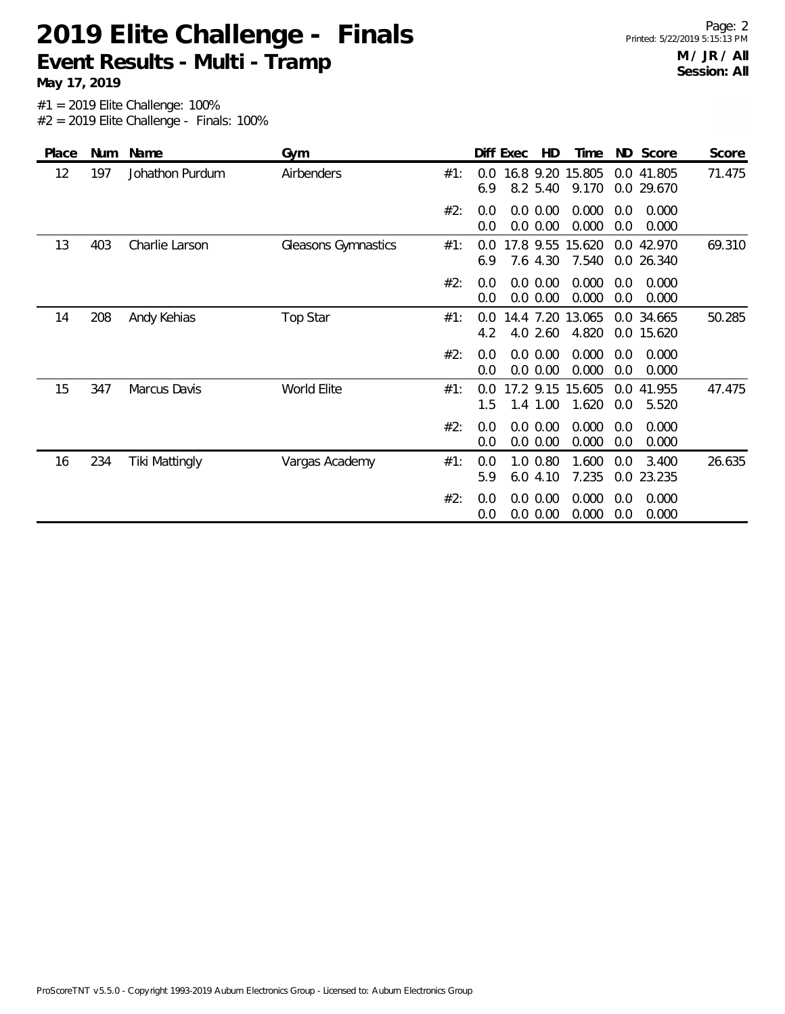**May 17, 2019**

| Place | Num | Name            | Gym                 |     |            | Diff Exec | HD                    | Time                      | ND         | Score                    | Score  |
|-------|-----|-----------------|---------------------|-----|------------|-----------|-----------------------|---------------------------|------------|--------------------------|--------|
| 12    | 197 | Johathon Purdum | Airbenders          | #1: | 0.0<br>6.9 |           | 8.2 5.40              | 16.8 9.20 15.805<br>9.170 | 0.0        | 0.0 41.805<br>29.670     | 71.475 |
|       |     |                 |                     | #2: | 0.0<br>0.0 |           | 0.0 0.00<br>0.0 0.00  | 0.000<br>0.000            | 0.0<br>0.0 | 0.000<br>0.000           |        |
| 13    | 403 | Charlie Larson  | Gleasons Gymnastics | #1: | 0.0<br>6.9 |           | 7.6 4.30              | 17.8 9.55 15.620<br>7.540 | 0.0        | 0.0 42.970<br>26.340     | 69.310 |
|       |     |                 |                     | #2: | 0.0<br>0.0 |           | 0.0 0.00<br>0.0 0.00  | 0.000<br>0.000            | 0.0<br>0.0 | 0.000<br>0.000           |        |
| 14    | 208 | Andy Kehias     | Top Star            | #1: | 0.0<br>4.2 |           | 14.4 7.20<br>4.0 2.60 | 13.065<br>4.820           |            | 0.0 34.665<br>0.0 15.620 | 50.285 |
|       |     |                 |                     | #2: | 0.0<br>0.0 |           | 0.0 0.00<br>0.0 0.00  | 0.000<br>0.000            | 0.0<br>0.0 | 0.000<br>0.000           |        |
| 15    | 347 | Marcus Davis    | World Elite         | #1: | 0.0<br>1.5 |           | 17.2 9.15<br>1.4 1.00 | 15.605<br>1.620           | 0.0<br>0.0 | 41.955<br>5.520          | 47.475 |
|       |     |                 |                     | #2: | 0.0<br>0.0 |           | 0.0 0.00<br>0.0 0.00  | 0.000<br>0.000            | 0.0<br>0.0 | 0.000<br>0.000           |        |
| 16    | 234 | Tiki Mattingly  | Vargas Academy      | #1: | 0.0<br>5.9 |           | 1.0 0.80<br>6.04.10   | 1.600<br>7.235            | 0.0        | 3.400<br>0.0 23.235      | 26.635 |
|       |     |                 |                     | #2: | 0.0<br>0.0 |           | 0.0 0.00<br>0.0 0.00  | 0.000<br>0.000            | 0.0<br>0.0 | 0.000<br>0.000           |        |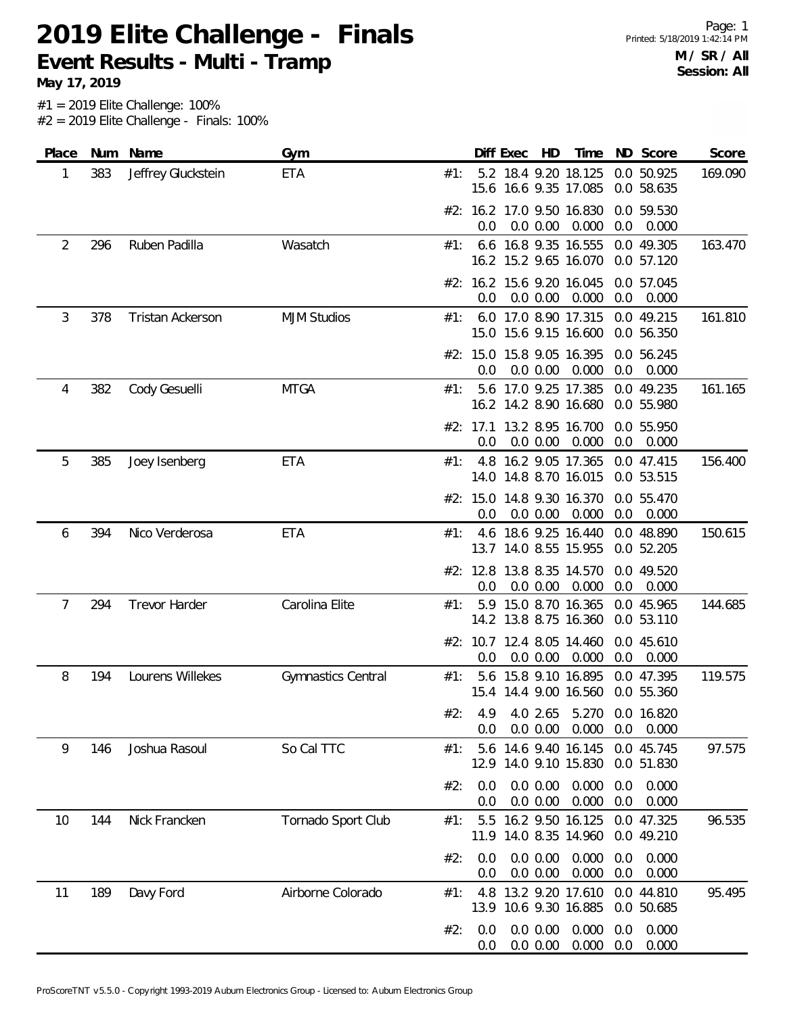**May 17, 2019**

| Place | Num | Name                 | Gym                       |     | Diff Exec                                     | HD<br>Time       | ND Score                                  | Score   |
|-------|-----|----------------------|---------------------------|-----|-----------------------------------------------|------------------|-------------------------------------------|---------|
| 1     | 383 | Jeffrey Gluckstein   | ETA                       | #1: | 5.2 18.4 9.20 18.125<br>15.6 16.6 9.35 17.085 |                  | 0.0 50.925<br>0.0 58.635                  | 169.090 |
|       |     |                      |                           |     | #2: 16.2 17.0 9.50 16.830<br>0.0<br>0.0 0.00  | 0.000            | 0.0 59.530<br>0.0<br>0.000                |         |
| 2     | 296 | Ruben Padilla        | Wasatch                   | #1: | 6.6 16.8 9.35 16.555<br>16.2 15.2 9.65 16.070 |                  | 0.0 49.305<br>0.0 57.120                  | 163.470 |
|       |     |                      |                           |     | #2: 16.2 15.6 9.20 16.045<br>0.0<br>0.0 0.00  | 0.000            | 0.0 57.045<br>0.0<br>0.000                |         |
| 3     | 378 | Tristan Ackerson     | <b>MJM Studios</b>        | #1: | 6.0 17.0 8.90 17.315<br>15.0 15.6 9.15 16.600 |                  | 0.0 49.215<br>0.0 56.350                  | 161.810 |
|       |     |                      |                           |     | #2: 15.0 15.8 9.05 16.395<br>0.0<br>0.0 0.00  | 0.000            | 0.0 56.245<br>0.0<br>0.000                |         |
| 4     | 382 | Cody Gesuelli        | <b>MTGA</b>               | #1: | 5.6 17.0 9.25 17.385<br>16.2 14.2 8.90 16.680 |                  | 0.0 49.235<br>0.0 55.980                  | 161.165 |
|       |     |                      |                           |     | #2: 17.1 13.2 8.95 16.700<br>0.0<br>0.0 0.00  | 0.000            | 0.0 55.950<br>0.0<br>0.000                |         |
| 5     | 385 | Joey Isenberg        | ETA                       | #1: | 4.8 16.2 9.05 17.365<br>14.0 14.8 8.70 16.015 |                  | 0.0 47.415<br>0.0 53.515                  | 156.400 |
|       |     |                      |                           |     | #2: 15.0 14.8 9.30 16.370<br>0.0 0.00<br>0.0  | 0.000            | 0.0 55.470<br>0.0<br>0.000                |         |
| 6     | 394 | Nico Verderosa       | <b>ETA</b>                | #1: | 4.6 18.6 9.25 16.440<br>13.7 14.0 8.55 15.955 |                  | 0.0 48.890<br>0.0 52.205                  | 150.615 |
|       |     |                      |                           |     | #2: 12.8 13.8 8.35 14.570<br>0.0<br>0.0 0.00  | 0.000            | 0.0 49.520<br>0.0<br>0.000                |         |
| 7     | 294 | <b>Trevor Harder</b> | Carolina Elite            | #1: | 5.9 15.0 8.70 16.365<br>14.2 13.8 8.75 16.360 |                  | 0.0 45.965<br>0.0 53.110                  | 144.685 |
|       |     |                      |                           |     | #2: 10.7 12.4 8.05 14.460<br>0.0<br>0.0 0.00  | 0.000            | 0.0 45.610<br>0.0<br>0.000                |         |
| 8     | 194 | Lourens Willekes     | <b>Gymnastics Central</b> | #1: | 5.6 15.8 9.10 16.895<br>15.4 14.4 9.00 16.560 |                  | 0.0 47.395<br>0.0 55.360                  | 119.575 |
|       |     |                      |                           | #2: | 4.9<br>0.0 0.00<br>0.0                        | 0.000            | 4.0 2.65 5.270 0.0 16.820<br>0.000<br>0.0 |         |
| 9     | 146 | Joshua Rasoul        | So Cal TTC                | #1: | 5.6<br>12.9 14.0 9.10 15.830                  | 14.6 9.40 16.145 | 0.0 45.745<br>0.0 51.830                  | 97.575  |
|       |     |                      |                           | #2: | 0.0 0.00<br>0.0<br>0.0 0.00<br>0.0            | 0.000<br>0.000   | 0.000<br>0.0<br>0.0<br>0.000              |         |
| 10    | 144 | Nick Francken        | Tornado Sport Club        | #1: | $5.5^{\circ}$<br>11.9 14.0 8.35 14.960        | 16.2 9.50 16.125 | 0.0 47.325<br>0.0 49.210                  | 96.535  |
|       |     |                      |                           | #2: | 0.0 0.00<br>0.0<br>0.0 0.00<br>0.0            | 0.000<br>0.000   | 0.000<br>0.0<br>0.000<br>0.0              |         |
| 11    | 189 | Davy Ford            | Airborne Colorado         | #1: | 4.8<br>13.9 10.6 9.30 16.885                  | 13.2 9.20 17.610 | 0.0 44.810<br>0.0 50.685                  | 95.495  |
|       |     |                      |                           | #2: | 0.0 0.00<br>0.0<br>0.0 0.00<br>0.0            | 0.000<br>0.000   | 0.000<br>0.0<br>0.000<br>0.0              |         |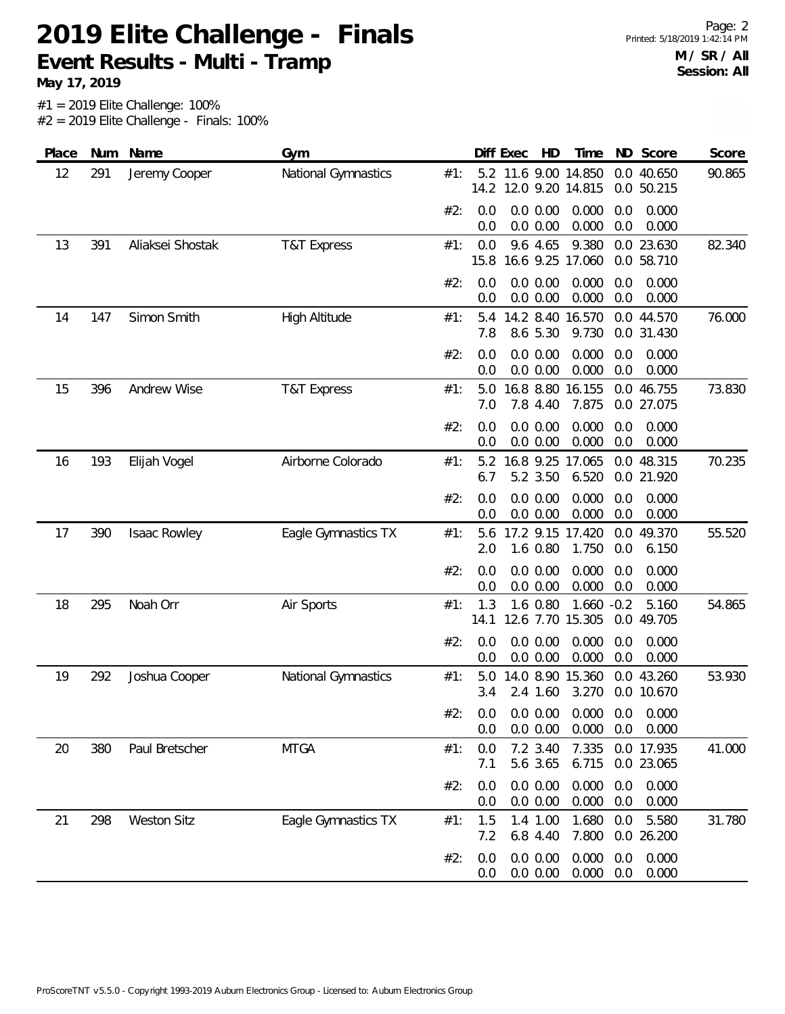**May 17, 2019**

| Place | Num | Name               | Gym                    |     |             | HD<br>Diff Exec                                      | Time            |            | ND Score                 | Score  |
|-------|-----|--------------------|------------------------|-----|-------------|------------------------------------------------------|-----------------|------------|--------------------------|--------|
| 12    | 291 | Jeremy Cooper      | National Gymnastics    | #1: | 5.2<br>14.2 | 11.6 9.00 14.850<br>12.0 9.20 14.815                 |                 |            | 0.0 40.650<br>0.0 50.215 | 90.865 |
|       |     |                    |                        | #2: | 0.0<br>0.0  | 0.0 0.00<br>0.0 0.00                                 | 0.000<br>0.000  | 0.0<br>0.0 | 0.000<br>0.000           |        |
| 13    | 391 | Aliaksei Shostak   | <b>T&amp;T Express</b> | #1: | 0.0<br>15.8 | 9.6 4.65<br>16.6 9.25 17.060                         | 9.380           |            | 0.0 23.630<br>0.0 58.710 | 82.340 |
|       |     |                    |                        | #2: | 0.0<br>0.0  | 0.0 0.00<br>0.0 0.00                                 | 0.000<br>0.000  | 0.0<br>0.0 | 0.000<br>0.000           |        |
| 14    | 147 | Simon Smith        | High Altitude          | #1: | 5.4<br>7.8  | 14.2 8.40 16.570<br>8.6 5.30                         | 9.730           |            | 0.0 44.570<br>0.0 31.430 | 76.000 |
|       |     |                    |                        | #2: | 0.0<br>0.0  | 0.0 0.00<br>0.0 0.00                                 | 0.000<br>0.000  | 0.0<br>0.0 | 0.000<br>0.000           |        |
| 15    | 396 | Andrew Wise        | <b>T&amp;T Express</b> | #1: | 5.0<br>7.0  | 16.8 8.80<br>7.8 4.40                                | 16.155<br>7.875 |            | 0.0 46.755<br>0.0 27.075 | 73.830 |
|       |     |                    |                        | #2: | 0.0<br>0.0  | 0.0 0.00<br>0.0 0.00                                 | 0.000<br>0.000  | 0.0<br>0.0 | 0.000<br>0.000           |        |
| 16    | 193 | Elijah Vogel       | Airborne Colorado      | #1: | 5.2<br>6.7  | 16.8 9.25<br>5.2 3.50                                | 17.065<br>6.520 |            | 0.0 48.315<br>0.0 21.920 | 70.235 |
|       |     |                    |                        | #2: | 0.0<br>0.0  | 0.0 0.00<br>0.0 0.00                                 | 0.000<br>0.000  | 0.0<br>0.0 | 0.000<br>0.000           |        |
| 17    | 390 | Isaac Rowley       | Eagle Gymnastics TX    | #1: | 5.6<br>2.0  | 17.2 9.15 17.420<br>1.6 0.80                         | 1.750           | 0.0        | 0.0 49.370<br>6.150      | 55.520 |
|       |     |                    |                        | #2: | 0.0<br>0.0  | 0.0 0.00<br>0.0 0.00                                 | 0.000<br>0.000  | 0.0<br>0.0 | 0.000<br>0.000           |        |
| 18    | 295 | Noah Orr           | Air Sports             | #1: | 1.3<br>14.1 | 1.6 0.80<br>12.6 7.70 15.305                         | $1.660 -0.2$    |            | 5.160<br>0.0 49.705      | 54.865 |
|       |     |                    |                        | #2: | 0.0<br>0.0  | 0.0 0.00<br>0.0 0.00                                 | 0.000<br>0.000  | 0.0<br>0.0 | 0.000<br>0.000           |        |
| 19    | 292 | Joshua Cooper      | National Gymnastics    | #1: | 5.0<br>3.4  | 14.0 8.90<br>2.4 1.60                                | 15.360<br>3.270 |            | 0.0 43.260<br>0.0 10.670 | 53.930 |
|       |     |                    |                        | #2: | 0.0         | $0.0$ $0.0$ $0.00$ $0.000$ $0.0$ $0.000$<br>0.0 0.00 | 0.000           | 0.0        | 0.000                    |        |
| 20    | 380 | Paul Bretscher     | <b>MTGA</b>            | #1: | 0.0<br>7.1  | 7.2 3.40<br>5.6 3.65                                 | 7.335<br>6.715  |            | 0.0 17.935<br>0.0 23.065 | 41.000 |
|       |     |                    |                        | #2: | 0.0<br>0.0  | 0.0 0.00<br>0.0 0.00                                 | 0.000<br>0.000  | 0.0<br>0.0 | 0.000<br>0.000           |        |
| 21    | 298 | <b>Weston Sitz</b> | Eagle Gymnastics TX    | #1: | 1.5<br>7.2  | 1.4 1.00<br>6.8 4.40                                 | 1.680<br>7.800  | 0.0        | 5.580<br>0.0 26.200      | 31.780 |
|       |     |                    |                        | #2: | 0.0<br>0.0  | 0.0 0.00<br>$0.0\ 0.00$                              | 0.000<br>0.000  | 0.0<br>0.0 | 0.000<br>0.000           |        |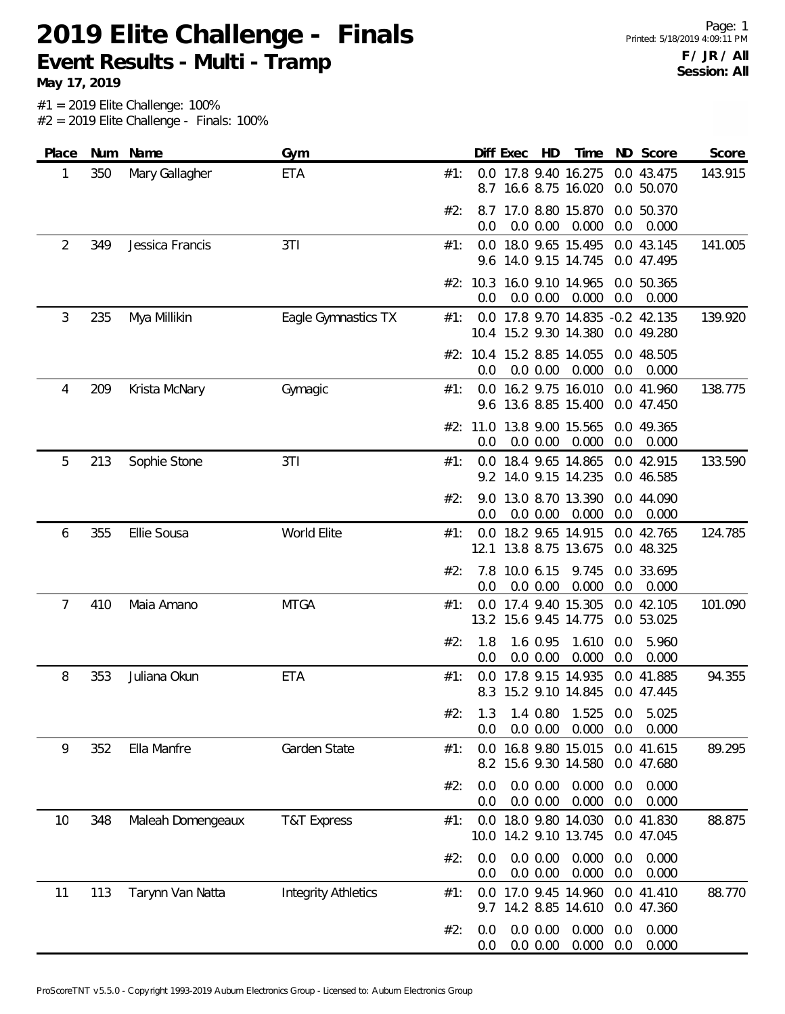**May 17, 2019**

| Place | Num | Name              | Gym                        |     |             | Diff Exec | HD                   | Time                                                      |            | ND Score                 | Score   |
|-------|-----|-------------------|----------------------------|-----|-------------|-----------|----------------------|-----------------------------------------------------------|------------|--------------------------|---------|
| 1     | 350 | Mary Gallagher    | ETA                        | #1: |             |           |                      | 0.0 17.8 9.40 16.275<br>8.7 16.6 8.75 16.020              |            | 0.0 43.475<br>0.0 50.070 | 143.915 |
|       |     |                   |                            | #2: | 8.7<br>0.0  |           | 0.0 0.00             | 17.0 8.80 15.870<br>0.000                                 | 0.0        | 0.0 50.370<br>0.000      |         |
| 2     | 349 | Jessica Francis   | 3T1                        | #1: | 9.6         |           |                      | 0.0 18.0 9.65 15.495<br>14.0 9.15 14.745                  |            | 0.0 43.145<br>0.0 47.495 | 141.005 |
|       |     |                   |                            |     | 0.0         |           | 0.0 0.00             | #2: 10.3 16.0 9.10 14.965<br>0.000                        | 0.0        | 0.0 50.365<br>0.000      |         |
| 3     | 235 | Mya Millikin      | Eagle Gymnastics TX        | #1: |             |           |                      | 0.0 17.8 9.70 14.835 -0.2 42.135<br>10.4 15.2 9.30 14.380 |            | 0.0 49.280               | 139.920 |
|       |     |                   |                            |     | 0.0         |           | 0.0 0.00             | #2: 10.4 15.2 8.85 14.055<br>0.000                        | 0.0        | 0.0 48.505<br>0.000      |         |
| 4     | 209 | Krista McNary     | Gymagic                    | #1: |             |           |                      | 0.0 16.2 9.75 16.010<br>9.6 13.6 8.85 15.400              |            | 0.0 41.960<br>0.0 47.450 | 138.775 |
|       |     |                   |                            |     | 0.0         |           | 0.0 0.00             | #2: 11.0 13.8 9.00 15.565<br>0.000                        | 0.0        | 0.0 49.365<br>0.000      |         |
| 5     | 213 | Sophie Stone      | 3T1                        | #1: |             |           |                      | 0.0 18.4 9.65 14.865<br>9.2 14.0 9.15 14.235              |            | 0.0 42.915<br>0.0 46.585 | 133.590 |
|       |     |                   |                            | #2: | 9.0<br>0.0  |           | 0.0 0.00             | 13.0 8.70 13.390<br>0.000                                 | 0.0        | 0.0 44.090<br>0.000      |         |
| 6     | 355 | Ellie Sousa       | World Elite                | #1: | 0.0<br>12.1 |           |                      | 18.2 9.65 14.915<br>13.8 8.75 13.675                      |            | 0.0 42.765<br>0.0 48.325 | 124.785 |
|       |     |                   |                            | #2: | 7.8<br>0.0  | 10.0 6.15 | 0.0 0.00             | 9.745<br>0.000                                            | 0.0        | 0.0 33.695<br>0.000      |         |
| 7     | 410 | Maia Amano        | <b>MTGA</b>                | #1: |             |           |                      | 0.0 17.4 9.40 15.305<br>13.2 15.6 9.45 14.775             |            | 0.0 42.105<br>0.0 53.025 | 101.090 |
|       |     |                   |                            | #2: | 1.8<br>0.0  |           | 1.6 0.95<br>0.0 0.00 | 1.610<br>0.000                                            | 0.0<br>0.0 | 5.960<br>0.000           |         |
| 8     | 353 | Juliana Okun      | ETA                        | #1: | 0.0<br>8.3  |           |                      | 17.8 9.15 14.935<br>15.2 9.10 14.845                      |            | 0.0 41.885<br>0.0 47.445 | 94.355  |
|       |     |                   |                            | #2: | 1.3<br>0.0  |           | 0.0 0.00             | 1.4 0.80 1.525 0.0<br>0.000                               | 0.0        | 5.025<br>0.000           |         |
| 9     | 352 | Ella Manfre       | Garden State               | #1: | 0.0         |           |                      | 16.8 9.80 15.015<br>8.2 15.6 9.30 14.580                  |            | 0.0 41.615<br>0.0 47.680 | 89.295  |
|       |     |                   |                            | #2: | 0.0<br>0.0  |           | 0.0 0.00<br>0.0 0.00 | 0.000<br>0.000                                            | 0.0<br>0.0 | 0.000<br>0.000           |         |
| 10    | 348 | Maleah Domengeaux | <b>T&amp;T Express</b>     | #1: | 0.0<br>10.0 |           |                      | 18.0 9.80 14.030<br>14.2 9.10 13.745                      |            | 0.0 41.830<br>0.0 47.045 | 88.875  |
|       |     |                   |                            | #2: | 0.0<br>0.0  |           | 0.0 0.00<br>0.0 0.00 | 0.000<br>0.000                                            | 0.0<br>0.0 | 0.000<br>0.000           |         |
| 11    | 113 | Tarynn Van Natta  | <b>Integrity Athletics</b> | #1: | 0.0         |           |                      | 17.0 9.45 14.960<br>9.7 14.2 8.85 14.610                  |            | 0.0 41.410<br>0.0 47.360 | 88.770  |
|       |     |                   |                            | #2: | 0.0<br>0.0  |           | 0.0 0.00<br>0.0 0.00 | 0.000<br>0.000                                            | 0.0<br>0.0 | 0.000<br>0.000           |         |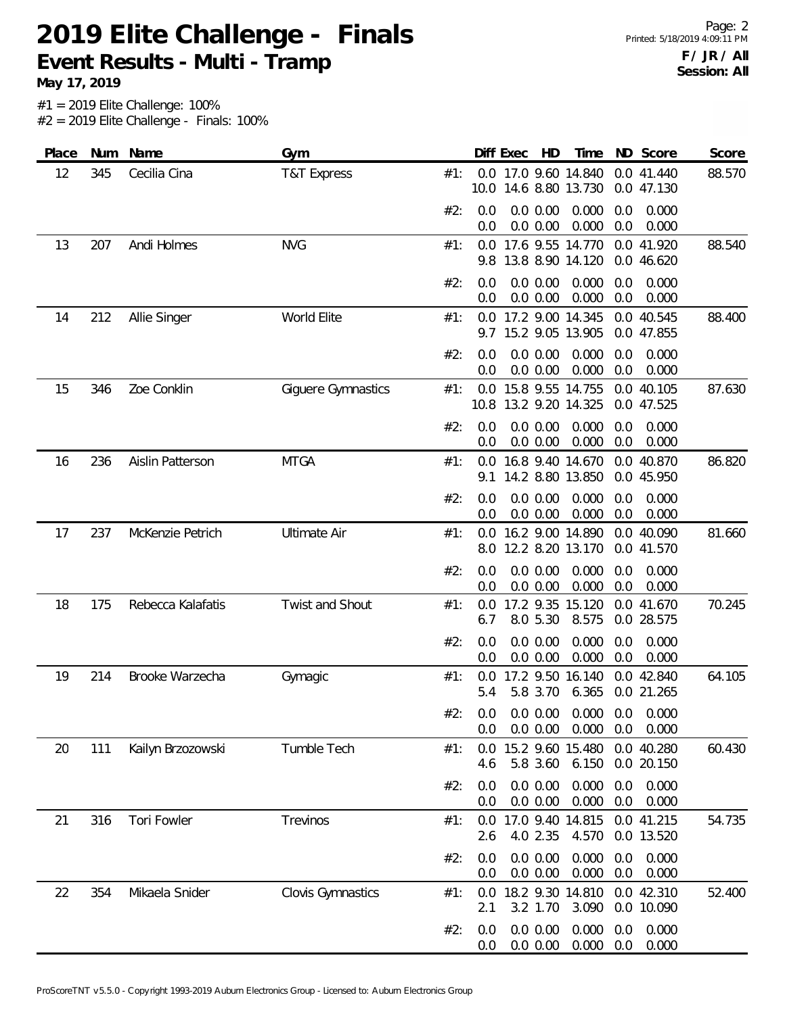Page: 2 Printed: 5/18/2019 4:09:11 PM **F / JR / All Session: All**

**May 17, 2019**

| Place | Num | Name              | Gym                    |     |             | Diff Exec | HD                      | Time                                     |            | ND Score                 | Score  |
|-------|-----|-------------------|------------------------|-----|-------------|-----------|-------------------------|------------------------------------------|------------|--------------------------|--------|
| 12    | 345 | Cecilia Cina      | <b>T&amp;T Express</b> | #1: | 10.0        |           |                         | 0.0 17.0 9.60 14.840<br>14.6 8.80 13.730 |            | 0.0 41.440<br>0.0 47.130 | 88.570 |
|       |     |                   |                        | #2: | 0.0<br>0.0  |           | 0.0 0.00<br>0.0 0.00    | 0.000<br>0.000                           | 0.0<br>0.0 | 0.000<br>0.000           |        |
| 13    | 207 | Andi Holmes       | <b>NVG</b>             | #1: | 0.0<br>9.8  |           |                         | 17.6 9.55 14.770<br>13.8 8.90 14.120     |            | 0.0 41.920<br>0.0 46.620 | 88.540 |
|       |     |                   |                        | #2: | 0.0<br>0.0  |           | $0.0\ 0.00$<br>0.0 0.00 | 0.000<br>0.000                           | 0.0<br>0.0 | 0.000<br>0.000           |        |
| 14    | 212 | Allie Singer      | World Elite            | #1: | 0.0         |           |                         | 17.2 9.00 14.345<br>9.7 15.2 9.05 13.905 |            | 0.0 40.545<br>0.0 47.855 | 88.400 |
|       |     |                   |                        | #2: | 0.0<br>0.0  |           | 0.0 0.00<br>0.0 0.00    | 0.000<br>0.000                           | 0.0<br>0.0 | 0.000<br>0.000           |        |
| 15    | 346 | Zoe Conklin       | Giguere Gymnastics     | #1: | 0.0<br>10.8 |           |                         | 15.8 9.55 14.755<br>13.2 9.20 14.325     |            | 0.0 40.105<br>0.0 47.525 | 87.630 |
|       |     |                   |                        | #2: | 0.0<br>0.0  |           | 0.0 0.00<br>0.0 0.00    | 0.000<br>0.000                           | 0.0<br>0.0 | 0.000<br>0.000           |        |
| 16    | 236 | Aislin Patterson  | <b>MTGA</b>            | #1: | 0.0<br>9.1  |           |                         | 16.8 9.40 14.670<br>14.2 8.80 13.850     |            | 0.0 40.870<br>0.0 45.950 | 86.820 |
|       |     |                   |                        | #2: | 0.0<br>0.0  |           | 0.0 0.00<br>0.0 0.00    | 0.000<br>0.000                           | 0.0<br>0.0 | 0.000<br>0.000           |        |
| 17    | 237 | McKenzie Petrich  | <b>Ultimate Air</b>    | #1: | 0.0<br>8.0  |           |                         | 16.2 9.00 14.890<br>12.2 8.20 13.170     |            | 0.0 40.090<br>0.0 41.570 | 81.660 |
|       |     |                   |                        | #2: | 0.0<br>0.0  |           | 0.0 0.00<br>0.0 0.00    | 0.000<br>0.000                           | 0.0<br>0.0 | 0.000<br>0.000           |        |
| 18    | 175 | Rebecca Kalafatis | Twist and Shout        | #1: | 0.0<br>6.7  |           | 8.0 5.30                | 17.2 9.35 15.120<br>8.575                |            | 0.0 41.670<br>0.0 28.575 | 70.245 |
|       |     |                   |                        | #2: | 0.0<br>0.0  |           | 0.0 0.00<br>0.0 0.00    | 0.000<br>0.000                           | 0.0<br>0.0 | 0.000<br>0.000           |        |
| 19    | 214 | Brooke Warzecha   | Gymagic                | #1: | 0.0<br>5.4  |           | 5.8 3.70                | 17.2 9.50 16.140<br>6.365                |            | 0.0 42.840<br>0.0 21.265 | 64.105 |
|       |     |                   |                        | #2: | 0.0<br>0.0  |           | 0.0 0.00<br>0.0 0.00    | 0.000<br>0.000                           | 0.0<br>0.0 | 0.000<br>0.000           |        |
| 20    | 111 | Kailyn Brzozowski | Tumble Tech            | #1: | 0.0<br>4.6  |           | 5.8 3.60                | 15.2 9.60 15.480<br>6.150                |            | 0.0 40.280<br>0.0 20.150 | 60.430 |
|       |     |                   |                        | #2: | 0.0<br>0.0  |           | 0.0 0.00<br>0.0 0.00    | 0.000<br>0.000                           | 0.0<br>0.0 | 0.000<br>0.000           |        |
| 21    | 316 | Tori Fowler       | Trevinos               | #1: | 0.0<br>2.6  |           | 4.0 2.35                | 17.0 9.40 14.815<br>4.570                |            | 0.0 41.215<br>0.0 13.520 | 54.735 |
|       |     |                   |                        | #2: | 0.0<br>0.0  |           | 0.0 0.00<br>0.0 0.00    | 0.000<br>0.000                           | 0.0<br>0.0 | 0.000<br>0.000           |        |
| 22    | 354 | Mikaela Snider    | Clovis Gymnastics      | #1: | 0.0<br>2.1  |           | 3.2 1.70                | 18.2 9.30 14.810<br>3.090                |            | 0.0 42.310<br>0.0 10.090 | 52.400 |
|       |     |                   |                        | #2: | 0.0<br>0.0  |           | 0.0 0.00<br>0.0 0.00    | 0.000<br>0.000                           | 0.0<br>0.0 | 0.000<br>0.000           |        |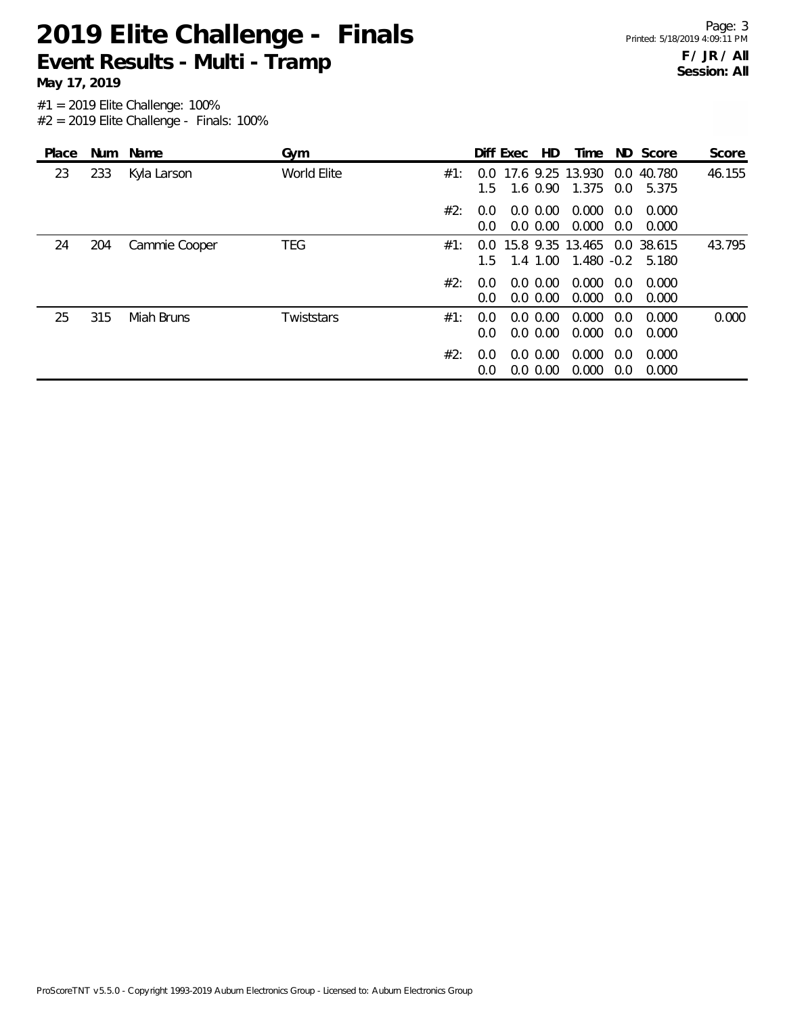Page: 3 Printed: 5/18/2019 4:09:11 PM **F / JR / All Session: All**

**May 17, 2019**

| Place |     | Num Name      | Gym         |     |                      | Diff Exec | HD.                        | Time                                                   |            | ND Score            | Score  |
|-------|-----|---------------|-------------|-----|----------------------|-----------|----------------------------|--------------------------------------------------------|------------|---------------------|--------|
| 23    | 233 | Kyla Larson   | World Elite | #1∶ | $1.5 -$              |           | 1.6 0.90                   | 0.0 17.6 9.25 13.930<br>1.375                          | 0.0        | 0.0 40.780<br>5.375 | 46.155 |
|       |     |               |             | #2: | 0.0<br>$0.0^{\circ}$ |           | $0.0\,0.00$<br>$0.0\,0.00$ | 0.000<br>0.000                                         | 0.0<br>0.0 | 0.000<br>0.000      |        |
| 24    | 204 | Cammie Cooper | TEG         | #1: | $1.5 -$              |           |                            | 0.0 15.8 9.35 13.465 0.0 38.615<br>1.4 1.00 1.480 -0.2 |            | 5.180               | 43.795 |
|       |     |               |             | #2: | $0.0^{\circ}$<br>0.0 |           | $0.0\,0.00$<br>$0.0\,0.00$ | 0.000<br>0.000                                         | 0.0<br>0.0 | 0.000<br>0.000      |        |
| 25    | 315 | Miah Bruns    | Twiststars  | #1: | 0.0<br>0.0           |           | $0.0\,0.00$<br>$0.0\,0.00$ | 0.000<br>0.000                                         | 0.0<br>0.0 | 0.000<br>0.000      | 0.000  |
|       |     |               |             | #2: | $0.0^{\circ}$<br>0.0 |           | $0.0\,0.00$<br>0.0 0.00    | 0.000<br>0.000                                         | 0.0<br>0.0 | 0.000<br>0.000      |        |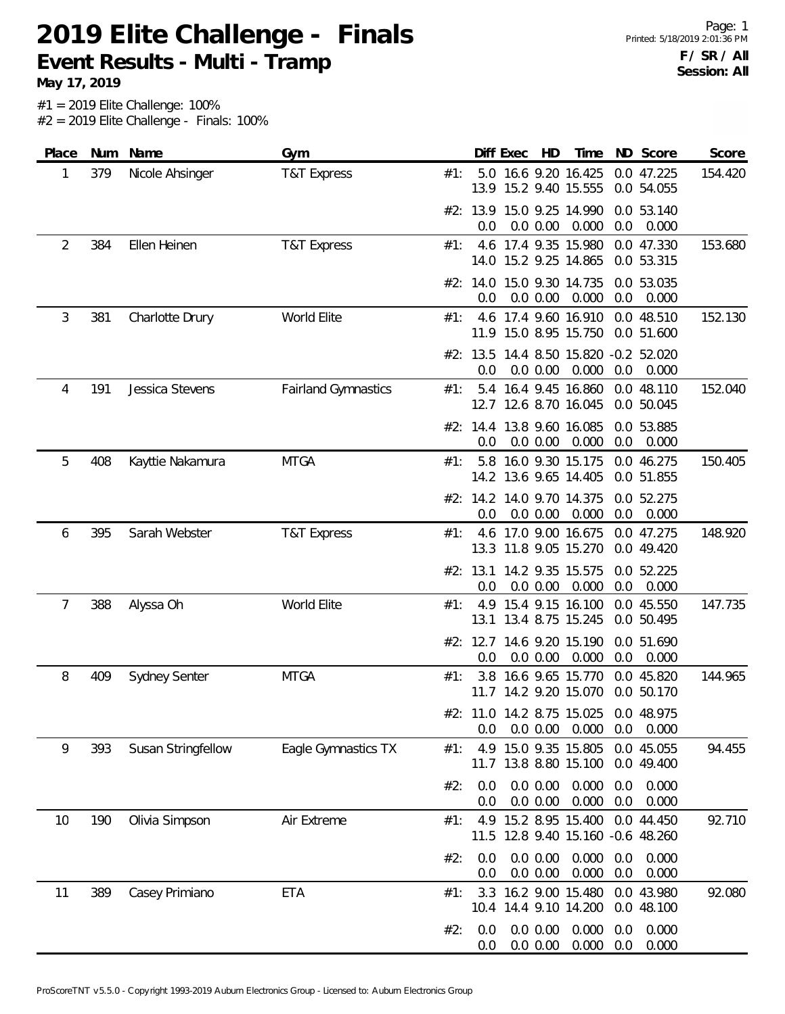**May 17, 2019**

| Place | Num | Name                 | Gym                        |     | Diff Exec       | HD                                                   | Time           |            | ND Score                 | Score   |
|-------|-----|----------------------|----------------------------|-----|-----------------|------------------------------------------------------|----------------|------------|--------------------------|---------|
| 1     | 379 | Nicole Ahsinger      | T&T Express                | #1: |                 | 5.0 16.6 9.20 16.425<br>13.9 15.2 9.40 15.555        |                |            | 0.0 47.225<br>0.0 54.055 | 154.420 |
|       |     |                      |                            |     | 0.0             | #2: 13.9 15.0 9.25 14.990<br>0.0 0.00                | 0.000          | 0.0        | 0.0 53.140<br>0.000      |         |
| 2     | 384 | Ellen Heinen         | <b>T&amp;T Express</b>     | #1: |                 | 4.6 17.4 9.35 15.980<br>14.0 15.2 9.25 14.865        |                |            | 0.0 47.330<br>0.0 53.315 | 153.680 |
|       |     |                      |                            |     | 0.0             | #2: 14.0 15.0 9.30 14.735<br>0.0 0.00                | 0.000          | 0.0        | 0.0 53.035<br>0.000      |         |
| 3     | 381 | Charlotte Drury      | World Elite                | #1: |                 | 4.6 17.4 9.60 16.910<br>11.9 15.0 8.95 15.750        |                |            | 0.0 48.510<br>0.0 51.600 | 152.130 |
|       |     |                      |                            |     | 0.0             | #2: 13.5 14.4 8.50 15.820 -0.2 52.020<br>0.0 0.00    | 0.000          | 0.0        | 0.000                    |         |
| 4     | 191 | Jessica Stevens      | <b>Fairland Gymnastics</b> | #1: |                 | 5.4 16.4 9.45 16.860<br>12.7 12.6 8.70 16.045        |                |            | 0.0 48.110<br>0.0 50.045 | 152.040 |
|       |     |                      |                            |     | 0.0             | #2: 14.4 13.8 9.60 16.085<br>0.0 0.00                | 0.000          | 0.0        | 0.0 53.885<br>0.000      |         |
| 5     | 408 | Kayttie Nakamura     | <b>MTGA</b>                | #1: |                 | 5.8 16.0 9.30 15.175<br>14.2 13.6 9.65 14.405        |                |            | 0.0 46.275<br>0.0 51.855 | 150.405 |
|       |     |                      |                            |     | 0.0             | #2: 14.2 14.0 9.70 14.375<br>0.0 0.00                | 0.000          | 0.0        | 0.0 52.275<br>0.000      |         |
| 6     | 395 | Sarah Webster        | T&T Express                | #1: |                 | 4.6 17.0 9.00 16.675<br>13.3 11.8 9.05 15.270        |                |            | 0.0 47.275<br>0.0 49.420 | 148.920 |
|       |     |                      |                            |     | #2: 13.1<br>0.0 | 14.2 9.35 15.575<br>0.0 0.00                         | 0.000          | 0.0        | 0.0 52.225<br>0.000      |         |
| 7     | 388 | Alyssa Oh            | World Elite                | #1: |                 | 4.9 15.4 9.15 16.100<br>13.1 13.4 8.75 15.245        |                |            | 0.0 45.550<br>0.0 50.495 | 147.735 |
|       |     |                      |                            |     | 0.0             | #2: 12.7 14.6 9.20 15.190<br>0.0 0.00                | 0.000          | 0.0        | 0.0 51.690<br>0.000      |         |
| 8     | 409 | <b>Sydney Senter</b> | <b>MTGA</b>                | #1: | 3.8             | 16.6 9.65 15.770<br>11.7 14.2 9.20 15.070            |                |            | 0.0 45.820<br>0.0 50.170 | 144.965 |
|       |     |                      |                            |     | 0.0             | #2: 11.0 14.2 8.75 15.025 0.0 48.975<br>0.0 0.00     | 0.000          | 0.0        | 0.000                    |         |
| 9     | 393 | Susan Stringfellow   | Eagle Gymnastics TX        | #1: |                 | 4.9 15.0 9.35 15.805<br>11.7 13.8 8.80 15.100        |                |            | 0.0 45.055<br>0.0 49.400 | 94.455  |
|       |     |                      |                            | #2: | 0.0<br>0.0      | 0.0 0.00<br>0.0 0.00                                 | 0.000<br>0.000 | 0.0<br>0.0 | 0.000<br>0.000           |         |
| 10    | 190 | Olivia Simpson       | Air Extreme                | #1: | 11.5            | 4.9 15.2 8.95 15.400<br>12.8 9.40 15.160 -0.6 48.260 |                |            | 0.0 44.450               | 92.710  |
|       |     |                      |                            | #2: | 0.0<br>0.0      | 0.0 0.00<br>0.0 0.00                                 | 0.000<br>0.000 | 0.0<br>0.0 | 0.000<br>0.000           |         |
| 11    | 389 | Casey Primiano       | ETA                        | #1: | 3.3             | 16.2 9.00 15.480<br>10.4 14.4 9.10 14.200            |                |            | 0.0 43.980<br>0.0 48.100 | 92.080  |
|       |     |                      |                            | #2: | 0.0<br>0.0      | 0.0 0.00<br>0.0 0.00                                 | 0.000<br>0.000 | 0.0<br>0.0 | 0.000<br>0.000           |         |